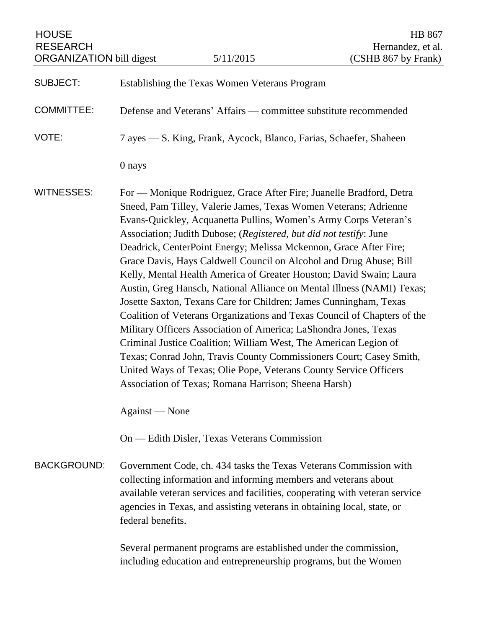HOUSE HB 867 RESEARCH Hernandez, et al.<br>ORGANIZATION bill digest 5/11/2015 (CSHB 867 by Frank) ORGANIZATION bill digest

| <b>SUBJECT:</b>    | Establishing the Texas Women Veterans Program                                                                                                                                                                                                                                                                                                                                                                                                                                                                                                                                                                                                                                                                                                                                                                                                                                                                                                                                                                                                                              |
|--------------------|----------------------------------------------------------------------------------------------------------------------------------------------------------------------------------------------------------------------------------------------------------------------------------------------------------------------------------------------------------------------------------------------------------------------------------------------------------------------------------------------------------------------------------------------------------------------------------------------------------------------------------------------------------------------------------------------------------------------------------------------------------------------------------------------------------------------------------------------------------------------------------------------------------------------------------------------------------------------------------------------------------------------------------------------------------------------------|
| <b>COMMITTEE:</b>  | Defense and Veterans' Affairs — committee substitute recommended                                                                                                                                                                                                                                                                                                                                                                                                                                                                                                                                                                                                                                                                                                                                                                                                                                                                                                                                                                                                           |
| VOTE:              | 7 ayes — S. King, Frank, Aycock, Blanco, Farias, Schaefer, Shaheen                                                                                                                                                                                                                                                                                                                                                                                                                                                                                                                                                                                                                                                                                                                                                                                                                                                                                                                                                                                                         |
|                    | 0 nays                                                                                                                                                                                                                                                                                                                                                                                                                                                                                                                                                                                                                                                                                                                                                                                                                                                                                                                                                                                                                                                                     |
| <b>WITNESSES:</b>  | For — Monique Rodriguez, Grace After Fire; Juanelle Bradford, Detra<br>Sneed, Pam Tilley, Valerie James, Texas Women Veterans; Adrienne<br>Evans-Quickley, Acquanetta Pullins, Women's Army Corps Veteran's<br>Association; Judith Dubose; (Registered, but did not testify: June<br>Deadrick, CenterPoint Energy; Melissa Mckennon, Grace After Fire;<br>Grace Davis, Hays Caldwell Council on Alcohol and Drug Abuse; Bill<br>Kelly, Mental Health America of Greater Houston; David Swain; Laura<br>Austin, Greg Hansch, National Alliance on Mental Illness (NAMI) Texas;<br>Josette Saxton, Texans Care for Children; James Cunningham, Texas<br>Coalition of Veterans Organizations and Texas Council of Chapters of the<br>Military Officers Association of America; LaShondra Jones, Texas<br>Criminal Justice Coalition; William West, The American Legion of<br>Texas; Conrad John, Travis County Commissioners Court; Casey Smith,<br>United Ways of Texas; Olie Pope, Veterans County Service Officers<br>Association of Texas; Romana Harrison; Sheena Harsh) |
|                    | Against - None                                                                                                                                                                                                                                                                                                                                                                                                                                                                                                                                                                                                                                                                                                                                                                                                                                                                                                                                                                                                                                                             |
|                    | On — Edith Disler, Texas Veterans Commission                                                                                                                                                                                                                                                                                                                                                                                                                                                                                                                                                                                                                                                                                                                                                                                                                                                                                                                                                                                                                               |
| <b>BACKGROUND:</b> | Government Code, ch. 434 tasks the Texas Veterans Commission with<br>collecting information and informing members and veterans about<br>available veteran services and facilities, cooperating with veteran service<br>agencies in Texas, and assisting veterans in obtaining local, state, or<br>federal benefits.                                                                                                                                                                                                                                                                                                                                                                                                                                                                                                                                                                                                                                                                                                                                                        |
|                    | Several permanent programs are established under the commission,<br>including education and entrepreneurship programs, but the Women                                                                                                                                                                                                                                                                                                                                                                                                                                                                                                                                                                                                                                                                                                                                                                                                                                                                                                                                       |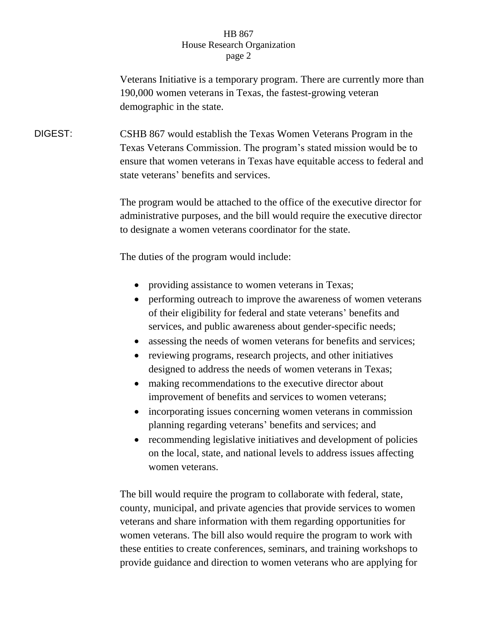## HB 867 House Research Organization page 2

Veterans Initiative is a temporary program. There are currently more than 190,000 women veterans in Texas, the fastest-growing veteran demographic in the state.

DIGEST: CSHB 867 would establish the Texas Women Veterans Program in the Texas Veterans Commission. The program's stated mission would be to ensure that women veterans in Texas have equitable access to federal and state veterans' benefits and services.

> The program would be attached to the office of the executive director for administrative purposes, and the bill would require the executive director to designate a women veterans coordinator for the state.

The duties of the program would include:

- providing assistance to women veterans in Texas;
- performing outreach to improve the awareness of women veterans of their eligibility for federal and state veterans' benefits and services, and public awareness about gender-specific needs;
- assessing the needs of women veterans for benefits and services;
- reviewing programs, research projects, and other initiatives designed to address the needs of women veterans in Texas;
- making recommendations to the executive director about improvement of benefits and services to women veterans;
- incorporating issues concerning women veterans in commission planning regarding veterans' benefits and services; and
- recommending legislative initiatives and development of policies on the local, state, and national levels to address issues affecting women veterans.

The bill would require the program to collaborate with federal, state, county, municipal, and private agencies that provide services to women veterans and share information with them regarding opportunities for women veterans. The bill also would require the program to work with these entities to create conferences, seminars, and training workshops to provide guidance and direction to women veterans who are applying for